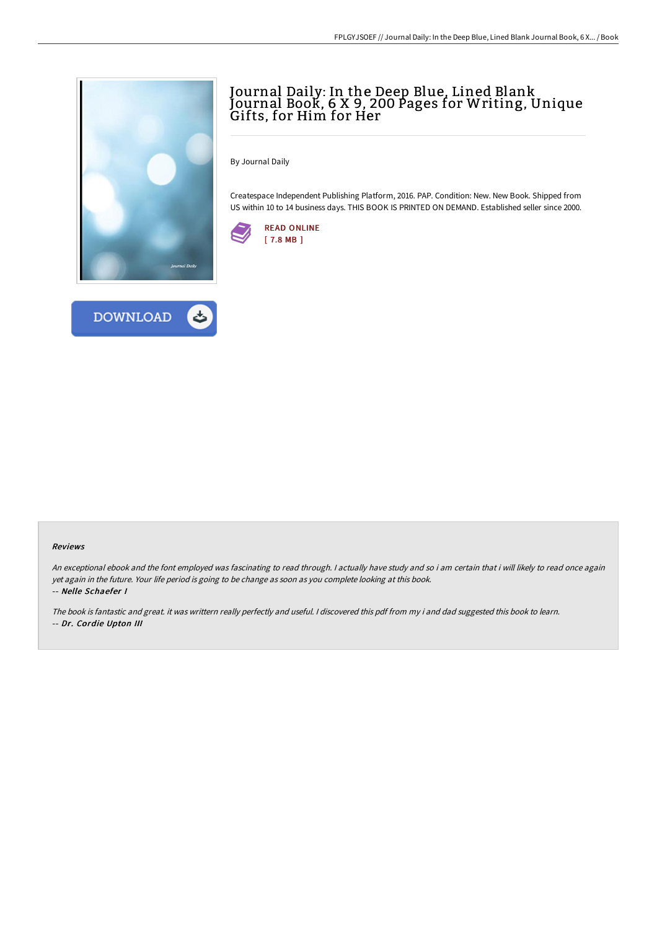



# Journal Daily: In the Deep Blue, Lined Blank Journal Book, 6 X 9, 200 Pages for Writing, Unique Gifts, for Him for Her

By Journal Daily

Createspace Independent Publishing Platform, 2016. PAP. Condition: New. New Book. Shipped from US within 10 to 14 business days. THIS BOOK IS PRINTED ON DEMAND. Established seller since 2000.



#### Reviews

An exceptional ebook and the font employed was fascinating to read through. <sup>I</sup> actually have study and so i am certain that i will likely to read once again yet again in the future. Your life period is going to be change as soon as you complete looking at this book. -- Nelle Schaefer I

The book is fantastic and great. it was writtern really perfectly and useful. <sup>I</sup> discovered this pdf from my i and dad suggested this book to learn. -- Dr. Cordie Upton III